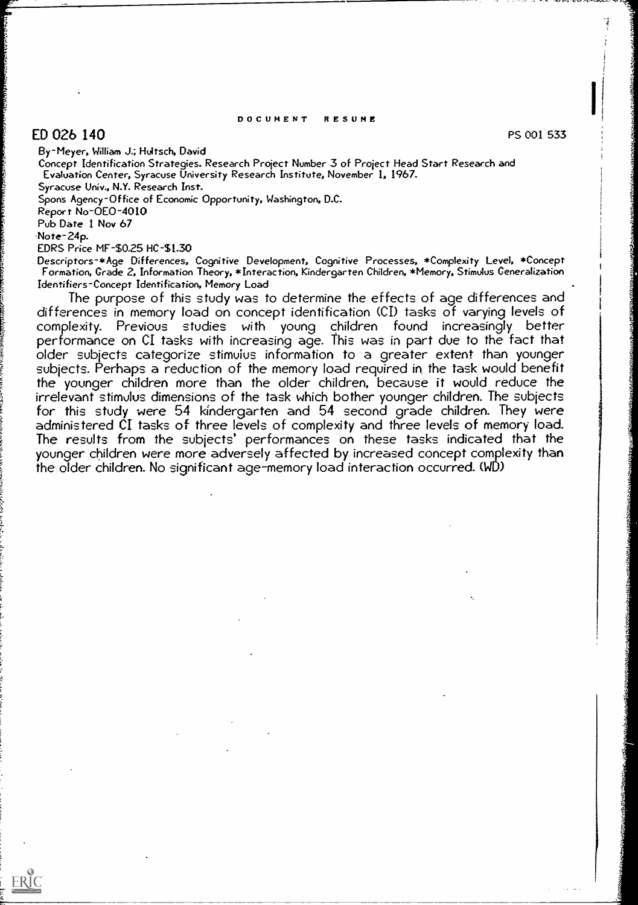#### DOCUMENT RESUME

# $ED$  026 140 PS 001 533 PS 001 533

By-Meyer, William J.; Hultsch, David

Concept Identification Strategies. Research Project Number 3 of Project Head Start Research and Evaluation Center, Syracuse University Research Institute, November 1, 1967. Syracuse Univ., N.Y. Research Inst.

Spons Agency-Office of Economic Opportunity, Washington, D.C.

Report No-0E0-4010

Pub Date 1 Nov 67

.Note- 24p.

ERIC

EDRS Price MF-\$0.25 HC-\$1.30

Descriptors-\*Age Differences, Cognitive Development, Cognitive Processes, \*Complexity Level, \*Concept Formation, Grade 2, Information Theory, \*Interaction, Kindergarten Children, \*Memory, Stimutus Generalization Identifiers-Concept Identification, Memory Load

The purpose of this study was to determine the effects of age differences and differences in memory load on concept identification (CI) tasks of varying levels of complexity. Previous studies with young children found increasingly better<br>performance on CI tasks with increasing age. This was in part due to the fact that performance on CI tasks with increasing and the fact that subjects categorize stimulus information to a greater extent than younger subjects. Perhaps a reduction of the memory load required in the task would benefit the younger children more than the older children, because it would reduce the irrelevant stimulus dimensions of the task which bother younger children. The subjects for this study were 54 kindergarten and 54 second grade children. They were<br>administered CI tasks of three levels of complexity and three levels of memory load. The results from the subjects' performances on these tasks indicated that the younger children were more adversely affected by increased concept complexity than the older children. No significant age-memory load interaction occurred. (WD)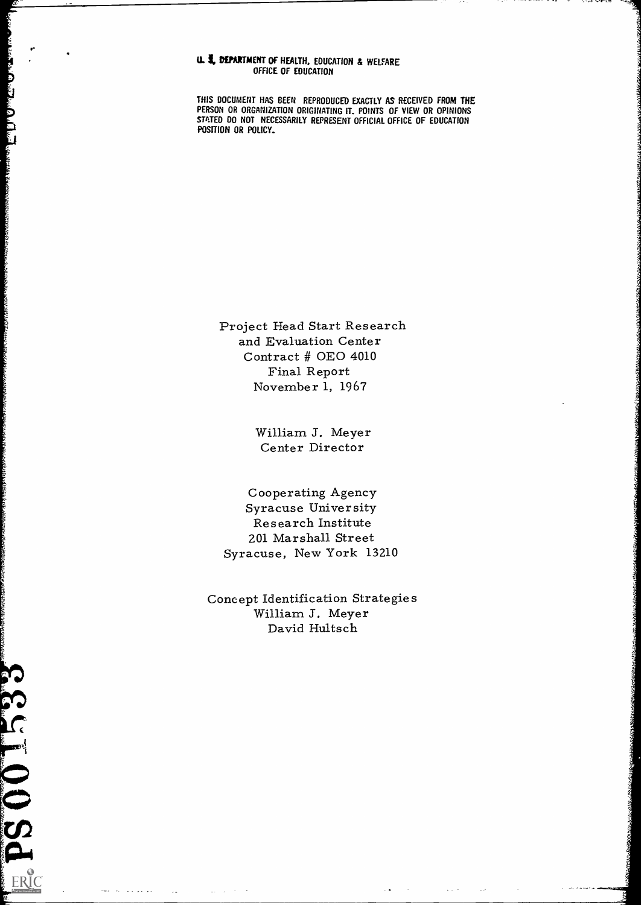### U. **5, DEPARTMENT OF HEALTH, EDUCATION & WELFARE** OFFICE OF EDUCATION

THIS DOCUMENT HAS BEEN REPRODUCED EXACTLY AS RECEIVED FROM THE PERSON OR ORGANIZATION ORIGINATING IT. POINTS OF VIEW OR OPINIONS STATED DO NOT NECESSARILY REPRESENT OFFICIAL OFFICE OF EDUCATION POSITION OR POLICY.

Project Head Start Research and Evaluation Center Contract # 0E0 4010 Final Report November 1, 1967

> William J. Meyer Center Director

Cooperating Agency Syracuse University Research Institute 201 Marshall Street Syracuse, New York 13210

Concept Identification Strategies William J. Meyer David Hultsch

**Reader of the Contraction of the Contraction of the Contraction of the Contraction of the Contraction of the Contraction of the Contraction of the Contraction of the Contraction of the Contraction of the Contraction of th**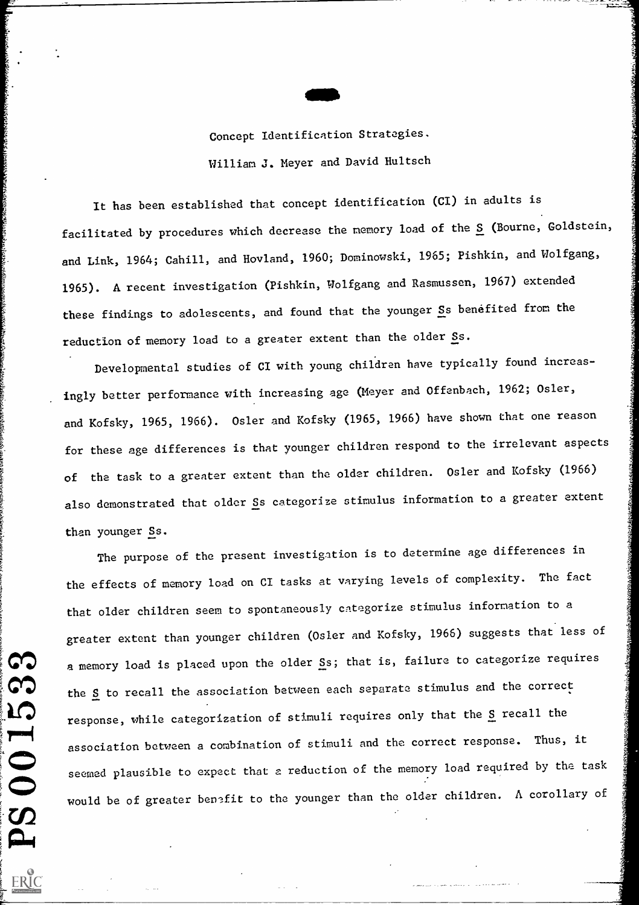

Concept Identification Strategies. William J. Meyer and David Hultsch

It has been established that concept identification (CI) in adults is facilitated by procedures which decrease the memory load of the S (Bourne, Goldstein, and Link, 1964; Cahill, and Hovland, 1960; Dominowski, 1965; Pishkin, and Wolfgang, 1965). A recent investigation (Pishkin, Wolfgang and Rasmussen, 1967) extended these findings to adolescents, and found that the younger Ss benefited from the reduction of memory load to a greater extent than the older Ss.

Developmental studies of CI with young children have typically found increasingly better performance with increasing age (Meyer and Offenbach, 1962; Osier, and Kofsky, 1965, 1966). Osier and Kofsky (1965, 1966) have shown that one reason for these age differences is that younger children respond to the irrelevant aspects of the task to a greater extent than the older children. Osler and Kofsky (1966) also demonstrated that older Ss categorize stimulus information to a greater extent than younger Ss.

The purpose of the present investigation is to determine age differences in the effects of memory load on CI tasks at varying levels of complexity. The fact that older children seem to spontaneously categorize stimulus information to a greater extent than younger children (Osier and Kofsky, 1966) suggests that less of a memory load is placed upon the older Ss; that is, failure to categorize requires the S to recall the association between each separate stimulus and the correct response, while categorization of stimuli requires only that the S recall the association between a combination of stimuli and the correct response. Thus, it seemed plausible to expect that a reduction of the memory load required by the task would be of greater benefit to the younger than the older children. A corollary of

ES.

SOL BRIC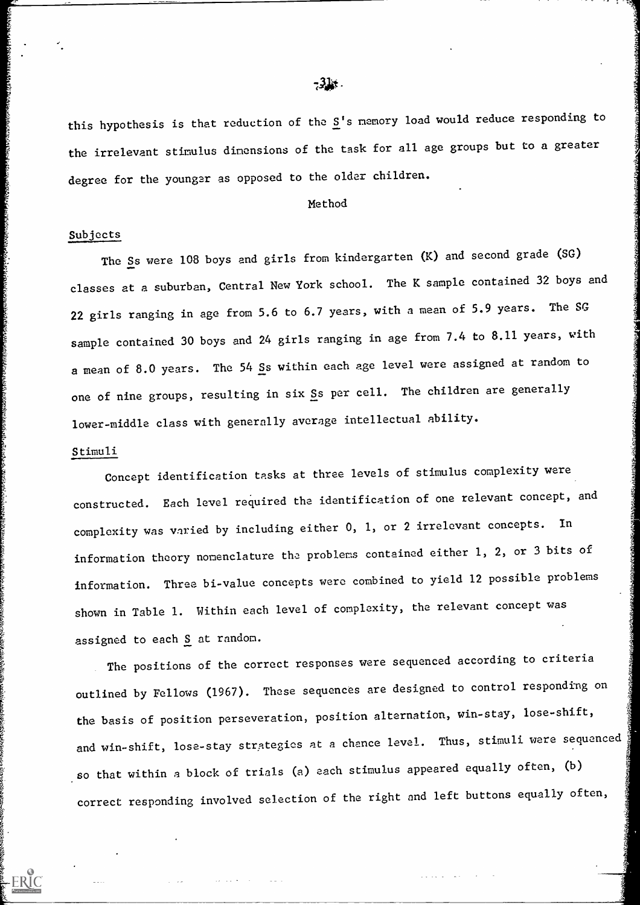this hypothesis is that reduction of the  $S'$ s memory load would reduce responding to the irrelevant stimulus dimensions of the task for all age groups but to a greater degree for the younger as opposed to the older children.

#### Method

### Subjects

The Ss were 108 boys and girls from kindergarten (K) and second grade (SG) classes at a suburban, Central New York school. The K sample contained 32 boys and 22 girls ranging in age from 5.6 to 6.7 years, with a mean of 5.9 years. The SG sample contained 30 boys and 24 girls ranging in age from 7.4 to 8.11 years, with a mean of 8.0 years. The 54 Ss within each age level were assigned at random to one of nine groups, resulting in six Ss per cell. The children are generally lower-middle class with generally average intellectual ability.

#### Stimuli

Concept identification tasks at three levels of stimulus complexity were constructed. Each level required the identification of one relevant concept, and complexity was varied by including either 0, 1, or 2 irrelevant concepts. In information theory nomenclature the problems contained either 1, 2, or 3 bits of information. Three bi-value concepts were combined to yield 12 possible problems shown in Table 1. Within each level of complexity, the relevant concept was assigned to each S at random.

The positions of the correct responses were sequenced according to criteria outlined by Fellows (1967). These sequences are designed to control responding on the basis of position perseveration, position alternation, win-stay, lose-shift, and win-shift, lose-stay strategies at a chance level. Thus, stimuli were sequenced , so that within a block of trials (a) each stimulus appeared equally often, (b) correct responding involved selection of the right and left buttons equally often,

# $-34.$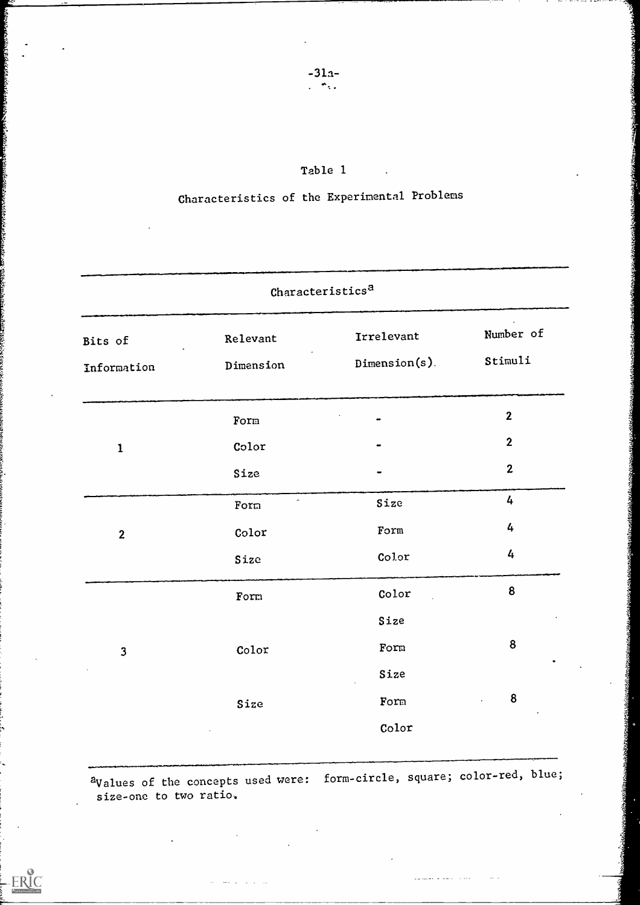| Table 1 |  |  |
|---------|--|--|
|---------|--|--|

# Characteristics of the Experimental Problems

| Characteristics <sup>a</sup> |                       |                             |                      |  |  |
|------------------------------|-----------------------|-----------------------------|----------------------|--|--|
| Bits of<br>Information       | Relevant<br>Dimension | Irrelevant<br>Dimension(s). | Number of<br>Stimuli |  |  |
|                              | Form                  |                             | $\boldsymbol{2}$     |  |  |
| $\mathbf{1}$                 | Color                 |                             | $\boldsymbol{2}$     |  |  |
|                              | Size                  |                             | $\mathbf{2}$         |  |  |
|                              | Form                  | Size                        | 4                    |  |  |
| $\boldsymbol{2}$             | Color                 | Form                        | 4                    |  |  |
|                              | Size                  | Color                       | 4                    |  |  |
|                              | Form                  | Color                       | 8                    |  |  |
|                              |                       | Size                        |                      |  |  |
| 3                            | Color                 | Form                        | 8                    |  |  |
|                              |                       | Size                        |                      |  |  |
|                              | Size                  | Form                        | $\boldsymbol{8}$     |  |  |
|                              |                       | $\text{Color}$              |                      |  |  |

aValues of the concepts used were: form-circle, square; color-red, blue; size-one to two ratio.

**Alexander State** 

ERIC

 $\overline{a}$ 

 $\bar{z}$  as  $\bar{z}$ 

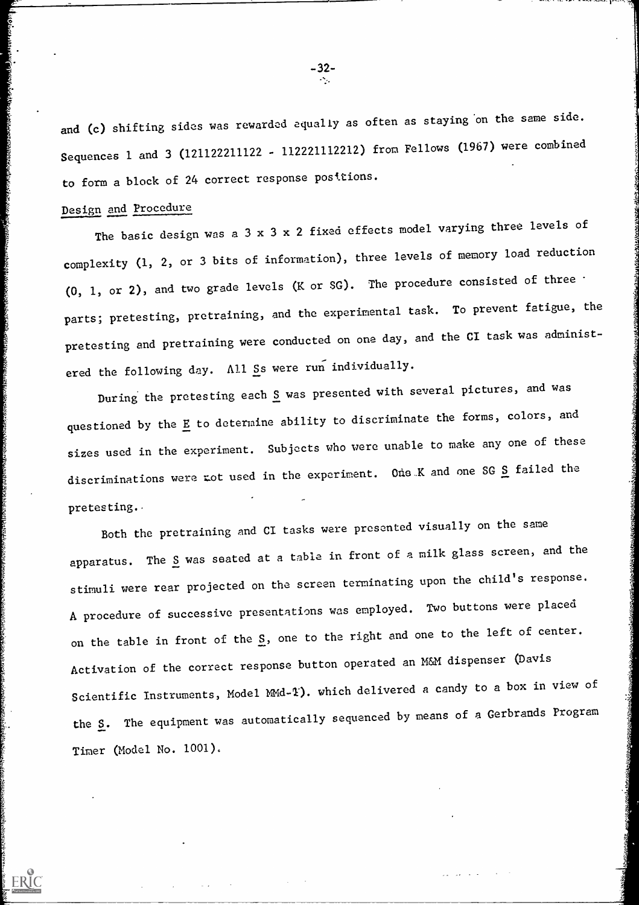and (c) shifting sides was rewarded equally as often as staying 'on the same side. Sequences 1 and 3 (121122211122 - 112221112212) from Fellows (1967) were combined to form a block of 24 correct response posttions.

# Design and Procedure

ERIC

The basic design was a 3 x 3 x 2 fixed effects model varying three levels of complexity (1, 2, or 3 bits of information), three levels of memory load reduction (0, 1, or 2), and two grade levels (K or SG). The procedure consisted of three parts; pretesting, pretraining, and the experimental task. To prevent fatigue, the pretesting and pretraining were conducted on one day, and the CI task was administered the following day. All Ss were run individually.

During the pretesting each S was presented with several pictures, and was questioned by the  $E$  to determine ability to discriminate the forms, colors, and sizes used in the experiment. Subjects who were unable to make any one of these discriminations were not used in the experiment. One K and one SG S failed the pretesting..  $\mathbf{z}^{\text{max}}$ 

Both the pretraining and CI tasks were presented visually on the same apparatus. The S was seated at a table in front of a milk glass screen, and the stimuli were rear projected on the screen terminating upon the child's response. A procedure of successive presentations was employed. Two buttons were placed on the table in front of the S, one to the right and one to the left of center. Activation of the correct response button operated an M&M dispenser (Davis Scientific Instruments, Model MMd-1). which delivered a candy to a box in view of the S. The equipment was automatically sequenced by means of a Gerbrands Program Timer (Model No. 1001).

-32-

 $-$ ----,  $\mu$ ---,  $\tilde{\mu}$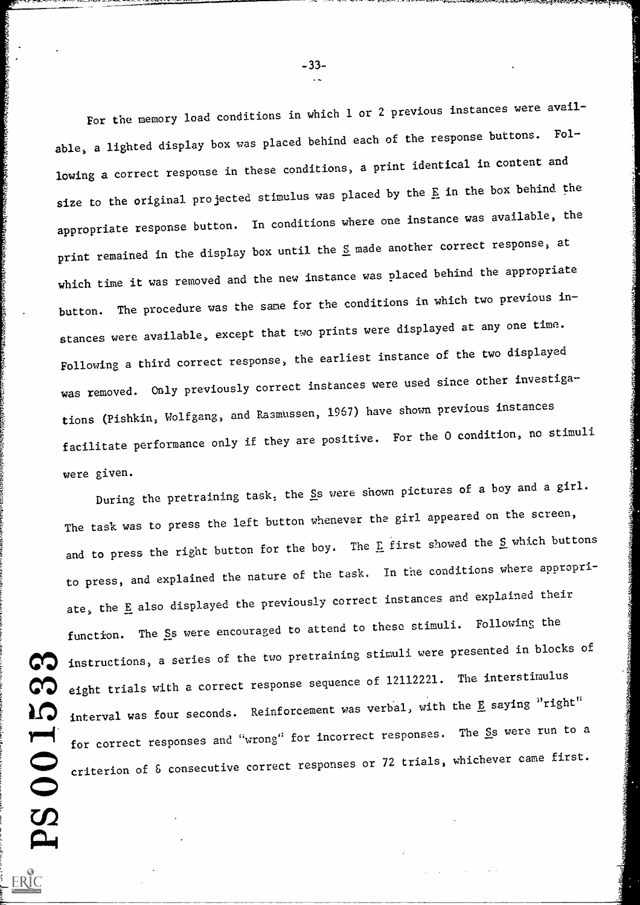For the memory load conditions in which 1 or 2 previous instances were available, a lighted display box was placed behind each of the response buttons. Following a correct response in these conditions, a print identical in content and size to the original projected stimulus was placed by the E in the box behind the appropriate response button. In conditions where one instance was available, the print remained in the display box until the  $S$  made another correct response, at which time it was removed and the new instance was placed behind the appropriate button. The procedure was the same for the conditions in which two previous instances were available, except that two prints were displayed at any one time. Following a third correct response, the earliest instance of the two displayed was removed. Only previously correct instances were used since other investigations (Pishkin, Wolfgang, and Rasmussen, 1967) have shown previous instances facilitate performance only if they are positive. For the 0 condition, no stimuli were given.

During the pretraining task, the Ss were shown pictures of a boy and a girl. The task was to press the left button whenever the girl appeared on the screen, and to press the right button for the boy. The  $E$  first showed the  $S$  which buttons to press, and explained the nature of the task. In the conditions where appropriate, the E also displayed the previously correct instances and explained their function. The Ss were encouraged to attend to these stimuli. Following the instructions, a series of the two pretraining stimuli were presented in blocks of eight trials with a correct response sequence of 12112221. The interstimulus interval was four seconds. Reinforcement was verbal, with the E saying "right" for correct responses and "wrong" for incorrect responses. The Ss were run to a criterion of & consecutive correct responses or 72 trials, whichever came first.PS0

ERIC

-33-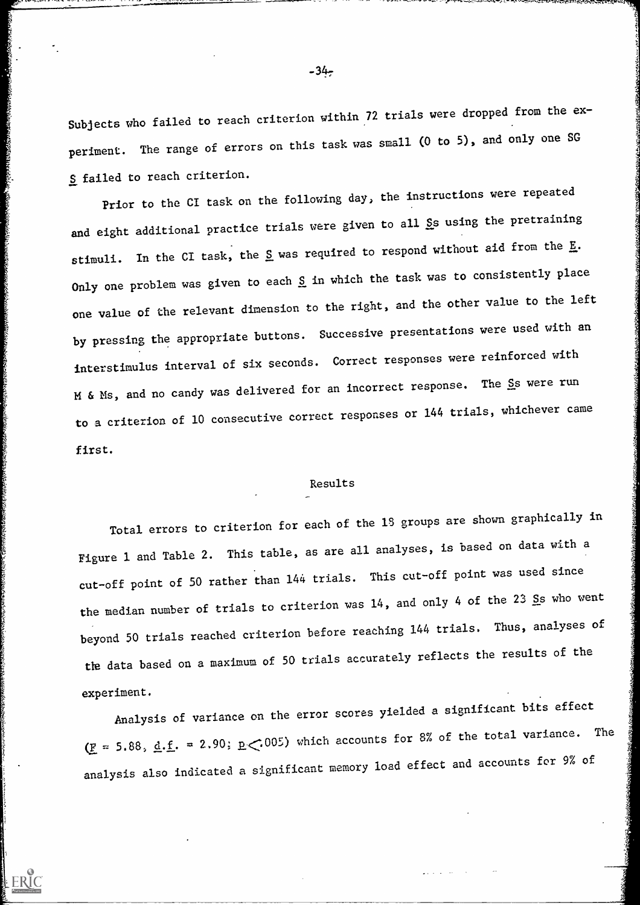Subjects who failed to reach criterion within 72 trials were dropped from the experiment. The range of errors on this task was small (0 to 5), and only one SG S failed to reach criterion.

Prior to the CI task on the following day, the instructions were repeated and eight additional practice trials were given to all Ss using the pretraining stimuli. In the CI task, the S was required to respond without aid from the E. Only one problem was given to each S in which the task was to consistently place one value of the relevant dimension to the right, and the other value to the left by pressing the appropriate buttons. Successive presentations were used with an interstimulus interval of six seconds. Correct responses were reinforced with M & Ms, and no candy was delivered for an incorrect response. The Ss were run to a criterion of 10 consecutive correct responses or 144 trials, whichever came first.

#### Results

Total errors to criterion for each of the 15 groups are shown graphically in Figure 1 and Table 2. This table, as are all analyses, is based on data with a cut-off point of 50 rather than 144 trials. This cut-off point was used since the median number of trials to criterion was 14, and only 4 of the 23 Ss who went beyond 50 trials reached criterion before reaching 144 trials. Thus, analyses of the data based on a maximum of 50 trials accurately reflects the results of the experiment.

Analysis of variance on the error scores yielded a significant bits effect  $(E = 5.88, d.f. = 2.90; p(.005)$  which accounts for 8% of the total variance. The analysis also indicated a significant memory load effect and accounts for 9% of

ERIC

 $-34-$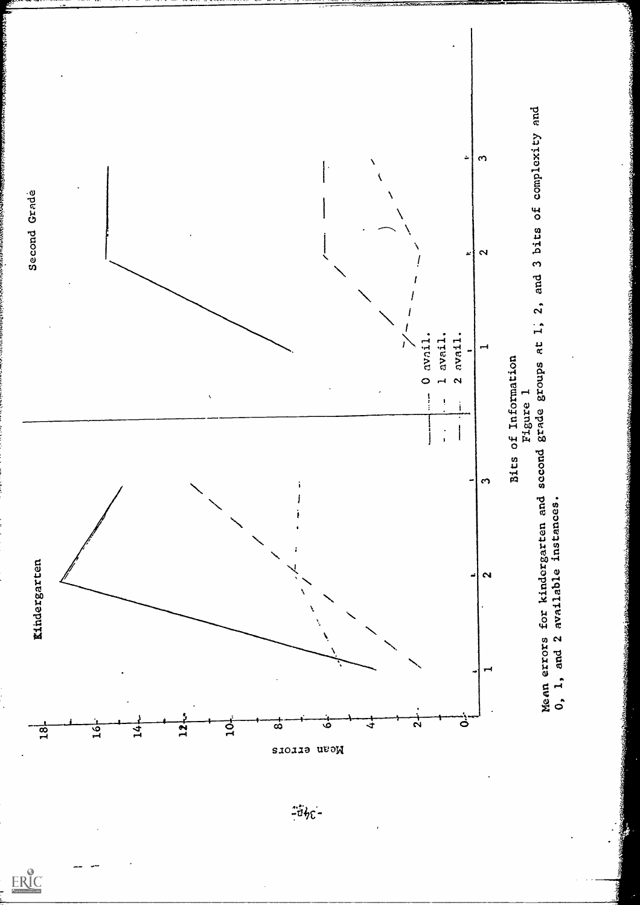



 $\underset{\frac{\text{FIRC}}{\text{Fall has the probability EBC}}}{\text{Fall has the probability EBC}}$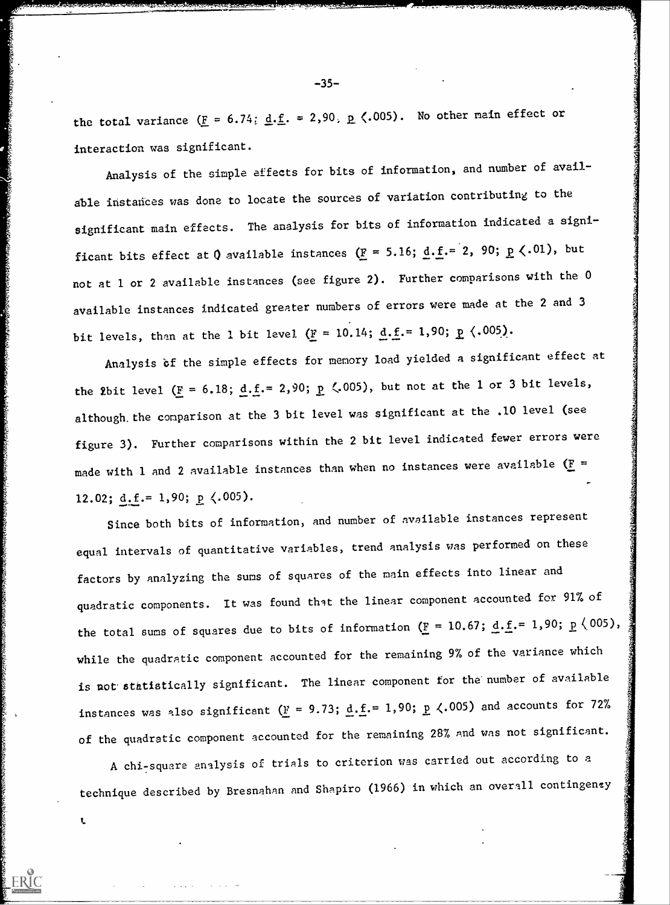the total variance  $(E = 6.74; d.f. = 2.90, p(.005)$ . No other main effect or interaction was significant.

Analysis of the simple effects for bits of information, and number of available instances was done to locate the sources of variation contributing to the significant main effects. The analysis for bits of information indicated a significant bits effect at Q available instances ( $\underline{F} = 5.16$ ;  $\underline{d} \cdot \underline{f} = 2$ , 90;  $\underline{p} \langle .01 \rangle$ , but not at 1 or 2 available instances (see figure 2). Further comparisons with the 0 available instances indicated greater numbers of errors were made at the 2 and 3 bit levels, than at the 1 bit level  $(F = 10.14; d.f. = 1,90; p(.005)).$ 

Analysis bf the simple effects for memory load yielded a significant effect at the 2bit level ( $\underline{F} = 6.18$ ;  $\underline{d}.\underline{f} = 2.90$ ;  $\underline{p}$  (.005), but not at the 1 or 3 bit levels, although the comparison at the 3 bit level was significant at the .10 level (see figure 3). Further comparisons within the 2 bit level indicated fewer errors were made with 1 and 2 available instances than when no instances were available  $(E =$ 12.02;  $\underline{d.f.} = 1,90; \underline{p} \langle .005 \rangle$ .

Since both bits of information, and number of available instances represent equal intervals of quantitative variables, trend analysis was performed on these factors by analyzing the sums of squares of the main effects into linear and quadratic components. It was found that the linear component accounted for 91% of the total sums of squares due to bits of information  $(F = 10.67; d.f. = 1,90; p \le 005)$ , while the quadratic component accounted for the remaining 9% of the variance which is not statistically significant. The linear component for the number of available instances was also significant  $(F = 9.73; d.f. = 1,90; p \nless 0.005)$  and accounts for 72% of the quadratic component accounted for the remaining 28% and was not significant.

A chi-square analysis of trials to criterion was carried out according to a technique described by Bresnahan and Shapiro (1966) in which an overall contingenty

 $\mathbf{L}$ 

-35-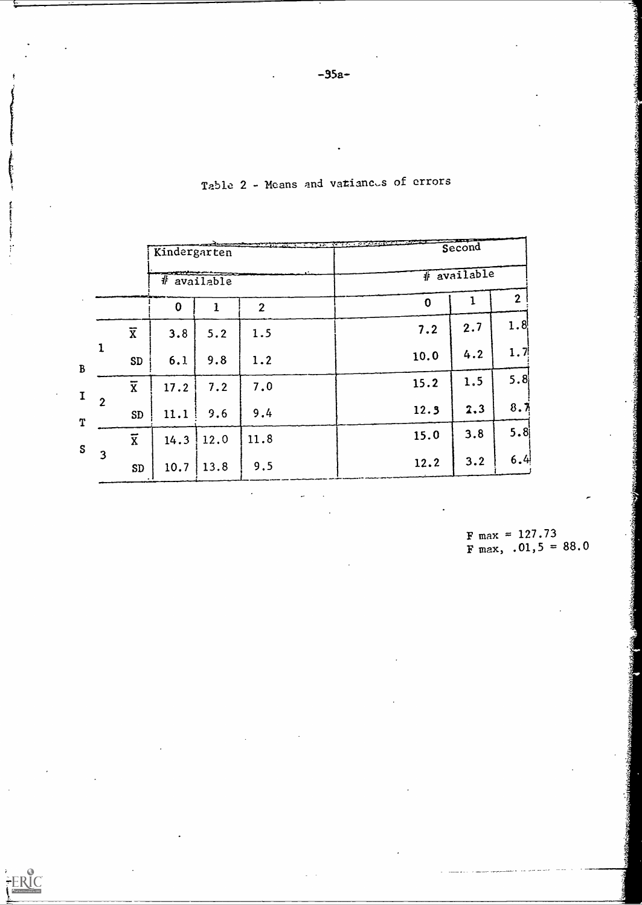|                |                | Kindergarten                   |      |                | And the company of the second state of the company of the company of the company of the company of the company of the company of the company of the company of the company of the company of the company of the company of the |                  | Second |                  |  |  |
|----------------|----------------|--------------------------------|------|----------------|--------------------------------------------------------------------------------------------------------------------------------------------------------------------------------------------------------------------------------|------------------|--------|------------------|--|--|
|                |                | <del>∞∞</del><br>$#$ available |      |                |                                                                                                                                                                                                                                | # available      |        |                  |  |  |
|                |                | $\mathbf 0$                    | 1    | $\overline{2}$ |                                                                                                                                                                                                                                | $\boldsymbol{0}$ | ı      | $\mathbf{2}$     |  |  |
|                | $\overline{x}$ | 3.8                            | 5.2  | 1.5            |                                                                                                                                                                                                                                | 7.2              | 2.7    | 1.8              |  |  |
| $\mathbf{1}$   | <b>SD</b>      | 6.1                            | 9.8  | 1.2            |                                                                                                                                                                                                                                | 10.0             | 4.2    | 1.7 <sup>1</sup> |  |  |
|                | $\overline{x}$ | 17.2                           | 7.2  | 7.0            |                                                                                                                                                                                                                                | 15.2             | 1.5    | 5.8              |  |  |
| $\overline{2}$ | <b>SD</b>      | 11.1                           | 9.6  | 9.4            |                                                                                                                                                                                                                                | 12.3             | 2,3    | 8.7              |  |  |
|                | $\overline{x}$ | 14.3                           | 12.0 | 11.8           |                                                                                                                                                                                                                                | 15.0             | 3.8    | 5.8              |  |  |
| $\overline{3}$ | <b>SD</b>      | 10.7                           | 13.8 | 9.5            |                                                                                                                                                                                                                                | 12.2             | 3.2    | 6.4              |  |  |

 $\cdot$ 

FERIC

Table 2 - Means and vatiances of errors

 $F \text{ max} = 127.73$  $F$  max, .01,5 = 88.0

 $\mathcal{L}$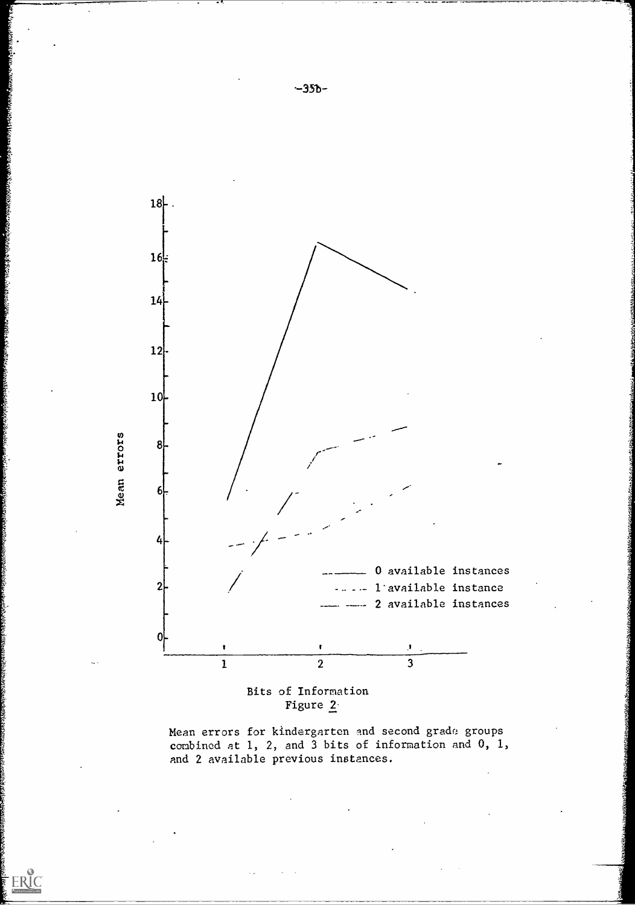

Figure 2-

ERIC

Mean errors for kindergarten and second grade groups combined at 1, 2, and 3 bits of information and 0, 1, and 2 available previous instances.

 $-35b-$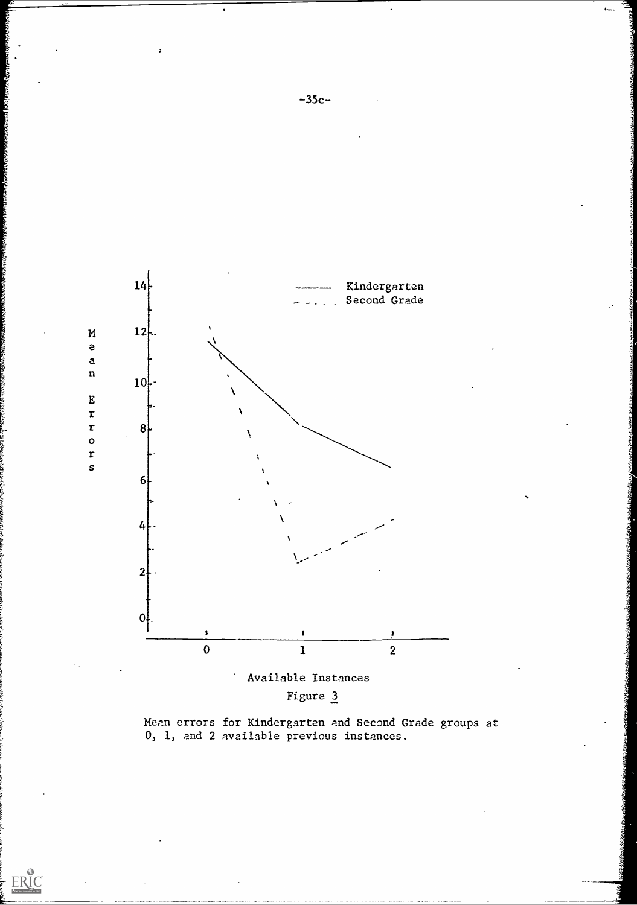

Figure 3

 $\mathbf{v}$ 

ERIC

Mean errors for Kindergarten and Second Grade groups at 0, 1, and 2 available previous instances.

 $\pmb{\mathcal{I}}$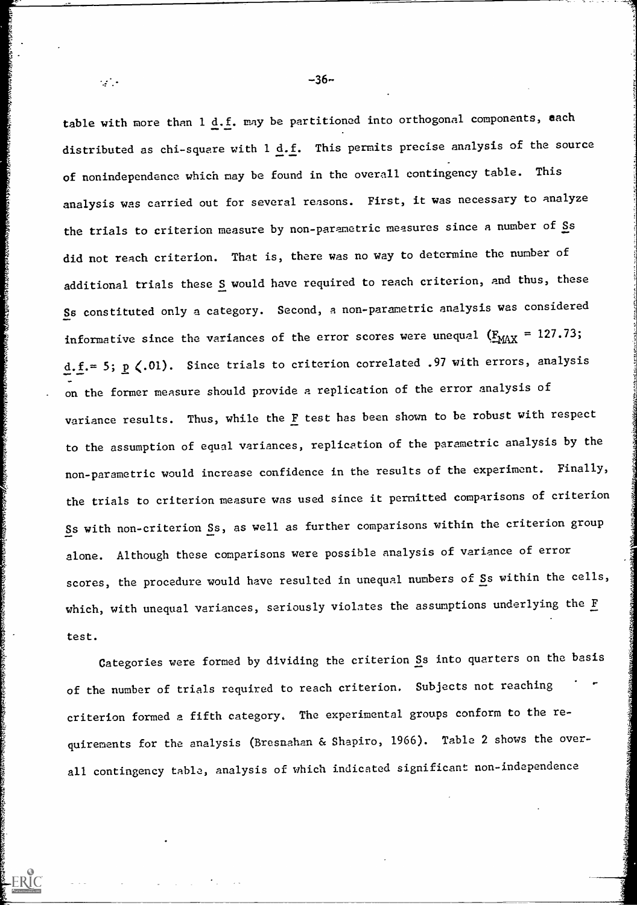table with more than  $1 \underline{d.f.}$  may be partitioned into orthogonal components, each distributed as chi-square with  $1$  <u>d.f</u>. This permits precise analysis of the source  $\qquad \qquad \qquad \qquad$ of nonindependence which may be found in the overall contingency table. This analysis was carried out for several reasons. First, it was necessary to analyze the trials to criterion measure by non-parametric measures since a number of Ss did not reach criterion. That is, there was no way to determine the number of additional trials these S would have required to reach criterion, and thus, these Ss constituted only a category. Second, a non-parametric analysis was considered informative since the variances of the error scores were unequal  $(E_{MAX} = 127.73;$ d.f.= 5;  $p$  (.01). Since trials to criterion correlated .97 with errors, analysis on the former measure should provide a replication of the error analysis of variance results. Thus, while the F test has been shown to be robust with respect to the assumption of equal variances, replication of the parametric analysis by the non-parametric would increase confidence in the results of the experiment. Finally, the trials to criterion measure was used since it permitted comparisons of criterion Ss with non-criterion Ss, as well as further comparisons within the criterion group alone. Although these comparisons were possible analysis of variance of error scores, the procedure would have resulted in unequal numbers of Ss within the cells, which, with unequal variances, seriously violates the assumptions underlying the F test.

Categories were formed by dividing the criterion Ss into quarters on the basis of the number of trials required to reach criterion. Subjects not reaching criterion formed a fifth category. The experimental groups conform to the requirements for the analysis (Bresnahan & Shapiro, 1966). Table 2 shows the overall contingency table, analysis of which indicated significant non-independence

 $\mathbb{R}^3$  . -36- $\mathbb{R}^3$  . -36- $\mathbb{R}^3$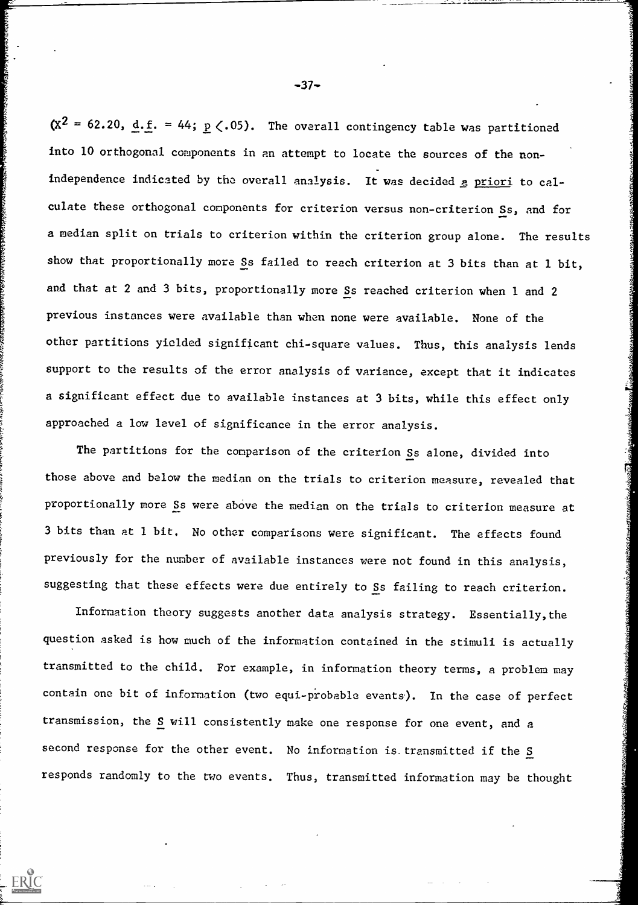$(X^2 = 62.20, d.f. = 44; p(.05).$  The overall contingency table was partitioned into 10 orthogonal components in an attempt to locate the sources of the nonindependence indicated by the overall analysis. It was decided a priori to calculate these orthogonal components for criterion versus non-criterion Ss, and for a median split on trials to criterion within the criterion group alone. The results show that proportionally more Ss failed to reach criterion at 3 bits than at 1 bit, and that at 2 and 3 bits, proportionally more Ss reached criterion when 1 and 2 previous instances were available than when none were available. None of the other partitions yielded significant chi-square values. Thus, this analysis lends support to the results of the error analysis of variance, except that it indicates a significant effect due to available instances at 3 bits, while this effect only approached a low level of significance in the error analysis.

The partitions for the comparison of the criterion Ss alone, divided into those above and below the median on the trials to criterion measure, revealed that proportionally more Ss were above the median on the trials to criterion measure at 3 bits than at I bit. No other comparisons were significant. The effects found previously for the number of available instances were not found in this analysis, suggesting that these effects were due entirely to Ss failing to reach criterion.

Information theory suggests another data analysis strategy. Essentially,the question asked is how much of the information contained in the stimuli is actually transmitted to fhe child. For example, in information theory terms, a problem may contain one bit of information (two equi-probable events). In the case of perfect transmission, the S will consistently make one response for one event, and a second response for the other event. No information is transmitted if the  $S$ responds randomly to the two events. Thus, transmitted information may be thought

 $-37-$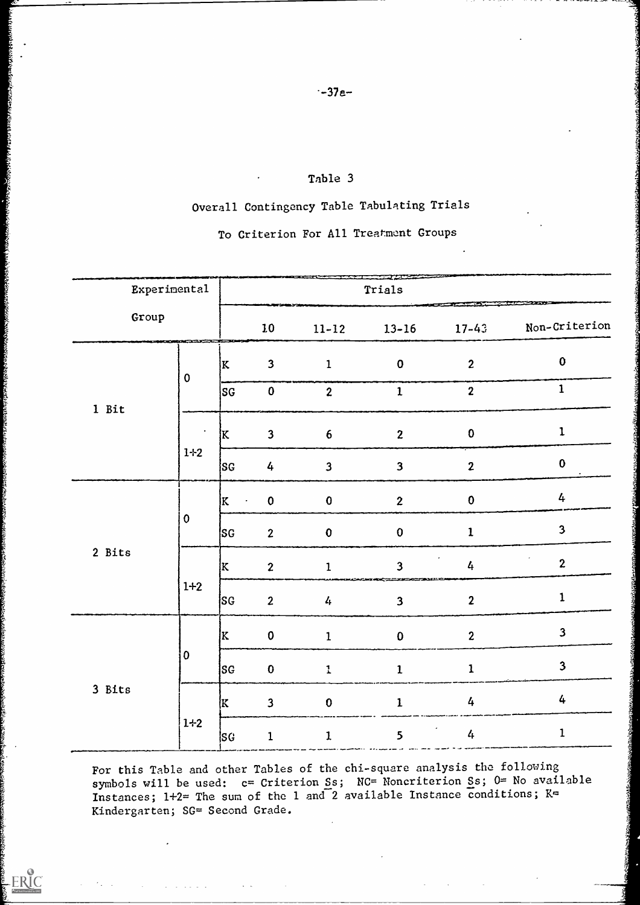## Table 3

# Overall Contingency Table Tabulating Trials

# To Criterion For All Treatment Groups

| <b>Experimental</b>        |                      | Trials         |                         |                         |                        |                            |                         |
|----------------------------|----------------------|----------------|-------------------------|-------------------------|------------------------|----------------------------|-------------------------|
| Group                      | <b>COMMUNICATION</b> |                | 10 <sub>1</sub>         | $11 - 12$               | $13 - 16$              | $17 - 43$                  | Non-Criterion           |
| $\boldsymbol{0}$<br>1 Bit  |                      | K              | $\mathbf{3}$            | $\mathbf{1}$            | $\mathbf{O}$           | $\boldsymbol{2}$           | $\bf{0}$                |
|                            |                      | SG             | $\pmb{0}$               | $\boldsymbol{2}$        | $\mathbf{1}$           | $\boldsymbol{2}$           | $\mathbf{1}$            |
|                            | $\bullet$            | <b>K</b>       | $\mathbf{3}$            | $\boldsymbol{6}$        | $\mathbf{2}$           | $\bf{0}$                   | $\mathbf 1$             |
|                            | $1*2$                | SG             | $\frac{1}{4}$           | $\overline{\mathbf{3}}$ | $\mathbf{3}$           | $\mathbf{2}$               | $\bf{0}$                |
| $\boldsymbol{0}$<br>2 Bits |                      | K<br>$\bullet$ | $\bf{0}$                | $\pmb{0}$               | $\boldsymbol{2}$       | $\pmb{0}$                  | 4                       |
|                            |                      | <b>SG</b>      | $\overline{2}$          | $\mathbf{0}$            | $\bf{0}$               | $\mathbf{1}$               | $\overline{\mathbf{3}}$ |
|                            |                      | K              | $\overline{2}$          | $\mathbf{1}$            | $\overline{3}$         | $\bullet$<br>$\frac{1}{4}$ | $\mathbf{2}$            |
|                            | $1+2$                | [SG            | $\overline{2}$          | 4                       | ------<br>$\mathbf{3}$ | $\boldsymbol{2}$           | $\mathbf 1$             |
|                            |                      | K              | $\pmb{0}$               | $\mathbf{1}$            | $\bf{0}$               | $\boldsymbol{2}$           | $\mathbf{3}$            |
| 3 Bits                     | $\overline{0}$       | SG             | $\mathbf{0}$            | $\mathbf{I}$            | 1                      | ı                          | 3                       |
|                            |                      | K.             | $\overline{\mathbf{3}}$ | $\bf{0}$                | $\mathbf{1}$           | 4                          | $\overline{4}$          |
|                            | $1+2$                | SG.            | $\mathbf 1$             | 1                       | 5                      | $\frac{1}{4}$              | $\mathbf 1$             |

For this Table and other Tables of the chi-square analysis the following symbols will be used: c= Criterion Ss; NC= Noncriterion Ss; 0= No available Instances; 1+2= The sum of the 1 and 2 available Instance conditions; K= Kindergarten; SG= Second Grade.

 $\bullet$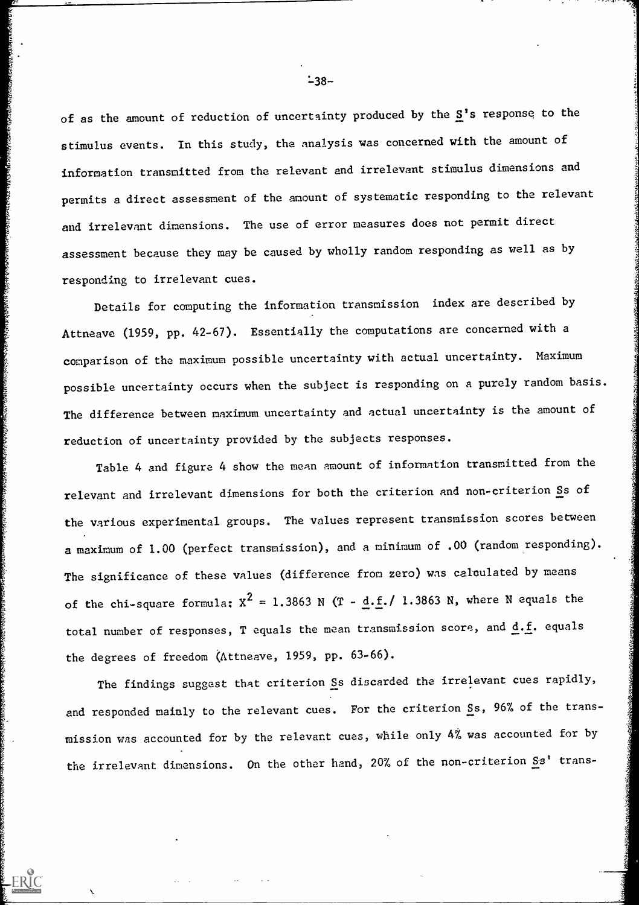of as the amount of reduction of uncertainty produced by the  $S'$ s response to the stimulus events. In this study, the analysis was concerned with the amount of information transmitted from the relevant and irrelevant stimulus dimensions and permits a direct assessment of the amount of systematic responding to the relevant and irrelevant dimensions. The use of error measures does not permit direct assessment because they may be caused by wholly random responding as well as by responding to irrelevant cues.

Details for computing the information transmission index are described by Attneave (1959, pp. 42-67). Essentially the computations are concerned with a comparison of the maximum possible uncertainty with actual uncertainty. Maximum possible uncertainty occurs when the subject is responding on a purely random basis. The difference between maximum uncertainty and actual uncertainty is the amount of reduction of uncertainty provided by the subjects responses.

1922 al al Santolio de Maria de Maria de Maria de Maria de Maria de Maria de Maria de Maria de Maria de Maria d

Table 4 and figure 4 show the mean amount of information transmitted from the relevant and irrelevant dimensions for both the criterion and non-criterion Ss of the various experimental groups. The values represent transmission scores between a maximum of 1.00 (perfect transmission), and a minimum of .00 (random responding). The significance of these values (difference from zero) was calculated by means of the chi-square formula:  $x^2 = 1.3863$  N (T - d.f./ 1.3863 N, where N equals the total number of responses, T equals the mean transmission score, and  $d.f.$  equals the degrees of freedom (kttneave, 1959, pp. 63-66).

The findings suggest that criterion Ss discarded the irrelevant cues rapidly, and responded mainly to the relevant cues. For the criterion Ss, 96% of the transmission was accounted for by the relevant cues, while only 4% was accounted for by ons. On the other hand, 20% of the non-criterion  $S_3$ ' trans-

 $-38-$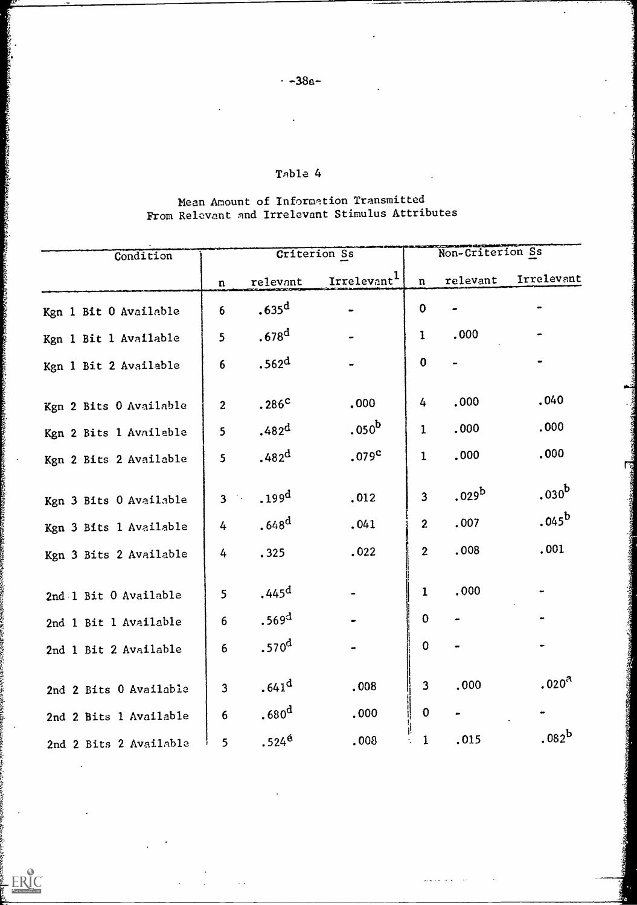Ŗ.

actionary

**From Sec.** 

ERIC

# Table 4

# Mean Amount of Information Transmitted From Relevant and Irrelevant Stimulus Attributes

| Condition              | Criterion Ss    |                   |                         | Non-Criterion Ss        |                   |                   |  |
|------------------------|-----------------|-------------------|-------------------------|-------------------------|-------------------|-------------------|--|
|                        | $\mathbf n$     | relevant          | Irrelevant <sup>1</sup> | $\mathbf{n}$            | relevant          | Irrelevant        |  |
| Kgn 1 Bit 0 Available  | 6               | .635 <sup>d</sup> |                         | $\mathbf 0$             |                   |                   |  |
| Kgn 1 Bit 1 Available  | $5\overline{)}$ | .678 <sup>d</sup> |                         | $\mathbf{1}$            | .000              |                   |  |
| Kgn 1 Bit 2 Available  | 6               | .562 <sup>d</sup> |                         | $\boldsymbol{0}$        |                   |                   |  |
| Kgn 2 Bits 0 Available | $\overline{c}$  | .286 <sup>c</sup> | .000                    | 4                       | .000              | .040              |  |
| Kgn 2 Bits 1 Available | 5               | .482 <sup>d</sup> | .050 <sup>b</sup>       | $\mathbf 1$             | .000              | .000              |  |
| Kgn 2 Bits 2 Available | 5 <sub>1</sub>  | .482 <sup>d</sup> | .079 <sup>c</sup>       | $\mathbf 1$             | .000              | .000              |  |
| Kgn 3 Bits 0 Available | $3$ $\ddots$    | .199 <sup>d</sup> | .012                    | $\overline{\mathbf{3}}$ | .029 <sup>b</sup> | .030 <sup>b</sup> |  |
| Kgn 3 Bits 1 Available | 4               | .648 <sup>d</sup> | .041                    | $\mathbf{2}$            | .007              | $.045^{\rm b}$    |  |
| Kgn 3 Bits 2 Available | 4               | .325              | .022                    | $\overline{2}$          | .008              | .001              |  |
| 2nd 1 Bit 0 Available  | 5               | .445 <sup>d</sup> |                         | 1                       | .000              |                   |  |
| 2nd 1 Bit 1 Available  | 6               | .569 <sup>d</sup> |                         | $\mathbf{0}$            |                   |                   |  |
| 2nd 1 Bit 2 Available  | 6               | .570 <sup>d</sup> |                         | $\mathbf 0$             |                   |                   |  |
| 2nd 2 Bits 0 Available | $\overline{3}$  | .641 <sup>d</sup> | .008                    | $\overline{\mathbf{3}}$ | .000              | .020 <sup>a</sup> |  |
| 2nd 2 Bits 1 Available | 6               | .680 <sup>d</sup> | .000                    | $\boldsymbol{0}$        |                   |                   |  |
| 2nd 2 Bits 2 Available | 5               | $.524^{\circ}$    | .008                    | 1                       | .015              | $.082^b$          |  |

 $\mathbb{R}^d$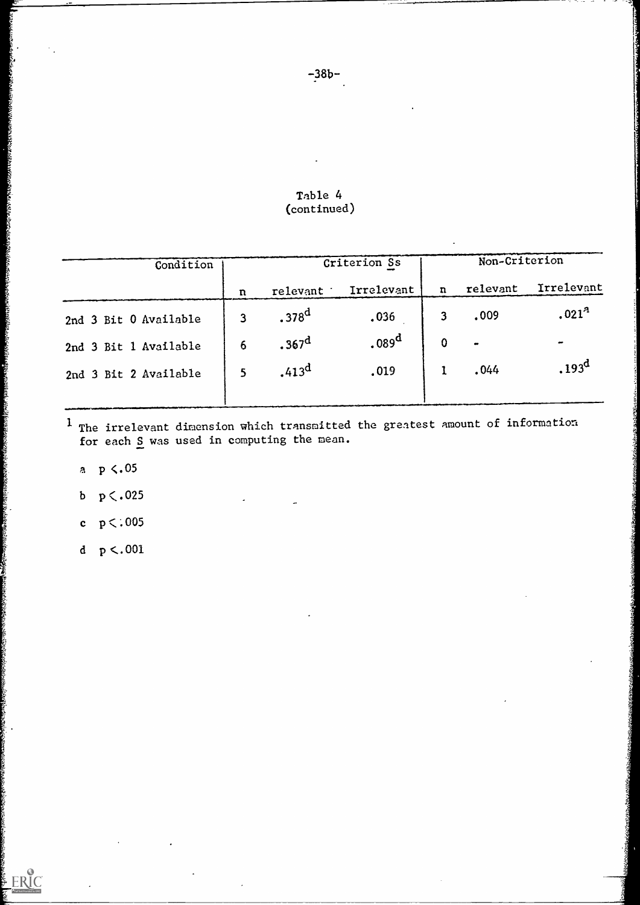| Table 4     |  |
|-------------|--|
| (continued) |  |

| Condition             |             | Criterion Ss      |                   |                | Non-Criterion |                   |  |
|-----------------------|-------------|-------------------|-------------------|----------------|---------------|-------------------|--|
|                       | $\mathbf n$ | relevant          | Irrelevant        | n              | relevant      | Irrelevant        |  |
| 2nd 3 Bit 0 Available | 3           | .378 <sup>d</sup> | .036              | 3 <sup>1</sup> | .009          | .021 <sup>3</sup> |  |
| 2nd 3 Bit 1 Available | 6           | .367 <sup>d</sup> | .089 <sup>d</sup> | $\mathbf 0$    | $\bullet$     | $\bullet$         |  |
| 2nd 3 Bit 2 Available |             | .413 <sup>d</sup> | .019              |                | .044          | .193 <sup>d</sup> |  |

 $^{\text{1}}$  The irrelevant dimension which transmitted the grea for each S was used in computing the mean. the greatest amount of information

a  $p \lt 0.05$ 

**CONTRACTORS** 

ERIC

- b  $p < .025$
- c  $p < .005$
- d  $p < .001$

-38b-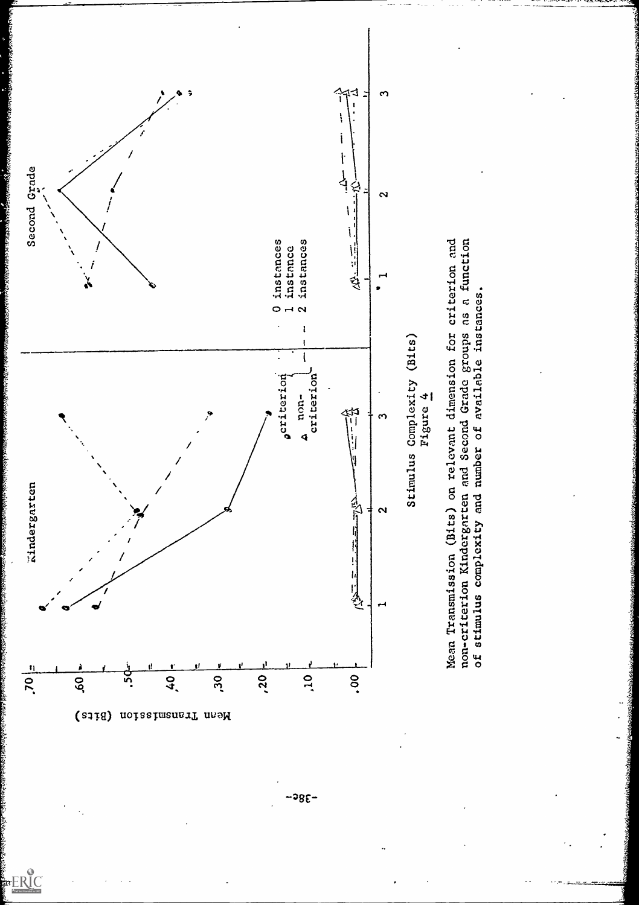

 $-385-$ 

FRIC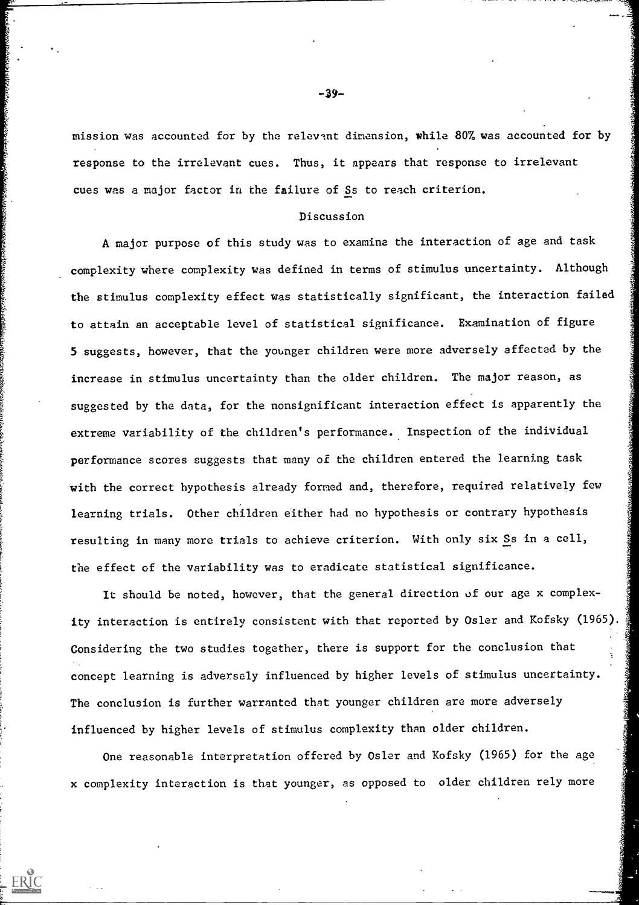mission was accounted for by the relevant dimension, while 807 was accounted for by response to the irrelevant cues. Thus, it appears that response to irrelevant cues was a major factor in the failure of Ss to reach criterion.

#### Discussion

A major purpose of this study was to examine the interaction of age and task complexity where complexity was defined in terms of stimulus uncertainty. Although the stimulus complexity effect was statistically significant, the interaction failed to attain an acceptable level of statistical significance. Examination of figure 5 suggests, however, that the younger children were more adversely affected by the increase in stimulus uncertainty than the older children. The major reason, as suggested by the data, for the nonsignificant interaction effect is apparently the extreme variability of the children's performance. Inspection of the individual performance scores suggests that many of the children entered the learning task with the correct hypothesis already formed and, therefore, required relatively few learning trials. Other children either had no hypothesis or contrary hypothesis resulting in many more trials to achieve criterion. With only six Ss in a cell, the effect of the variability was to eradicate statistical significance.

It should be noted, however, that the general direction of our age x complexity interaction is entirely consistent with that reported by Osler and Kofsky (1965). Considering the two studies together, there is support for the conclusion that concept learning is adversely influenced by higher levels of stimulus uncertainty. The conclusion is further warranted that younger children are more adversely influenced by higher levels of stimulus complexity than older children.

One reasonable interpretation offered by Osler and Kofsky (1965) for the age x complexity interaction is that younger, as opposed to older children rely more

-3Y-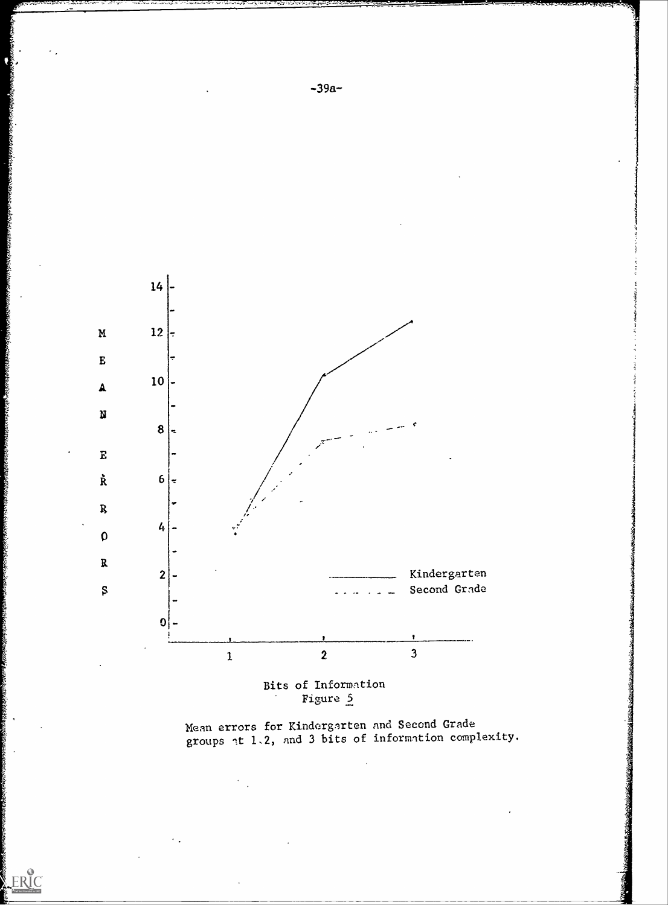

Bits of Information Figure 5

ERIC

Mean errors for Kindergnrten nnd Second Grade groups  $\lceil t/1 \rceil$  and 3 bits of information complexity.

 $-39a-$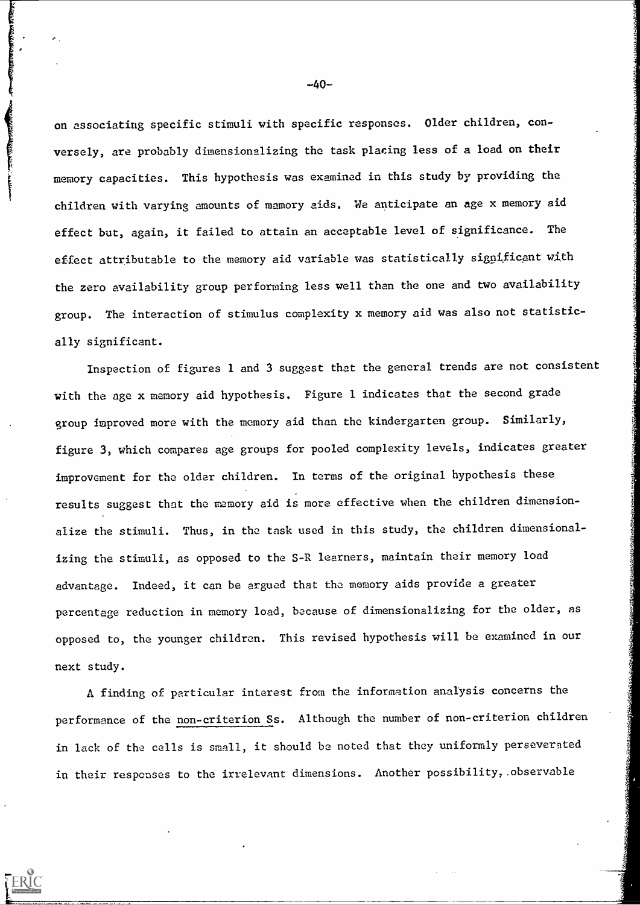on associating specific stimuli with specific responses. Older children, conversely, are probably dimensionalizing the task placing less of a load on their memory capacities. This hypothesis was examined in this study by providing the children with varying amounts of memory aids. We anticipate an age x memory aid effect but, again, it failed to attain an acceptable level of significance. The effect attributable to the memory aid variable was statistically significant with the zero availability group performing less well than the one and two availability group. The interaction of stimulus complexity x memory aid was also not statistically significant.

Inspection of figures 1 and 3 suggest that the general trends are not consistent with the age x memory aid hypothesis. Figure 1 indicates that the second grade group Improved more with the memory aid than the kindergarten group. Similarly, figure 3, which compares age groups for pooled complexity levels, indicates greater improvement for the older children. In terms of the original hypothesis these results suggest that the memory aid is more effective when the children dimensionalize the stimuli. Thus, in the task used in this study, the children dimensionalizing the stimuli, as opposed to the S-R learners, maintain their memory load advantage. Indeed, it can be argued that the memory aids provide a greater percentage reduction in memory load, because of dimensionalizing for the older, as opposed to, the younger children. This revised hypothesis will be examined in our next study.

A finding of particular interest from the information analysis concerns the performance of the non-criterion Ss. Although the number of non-criterion children in lack of the cells is small, it should be noted that they uniformly perseverated in their responses to the irrelevant dimensions. Another possibility,.observable

 $-40-$ 

**CONTRACTOR CONTRACTOR COMPANY CONTRACTOR**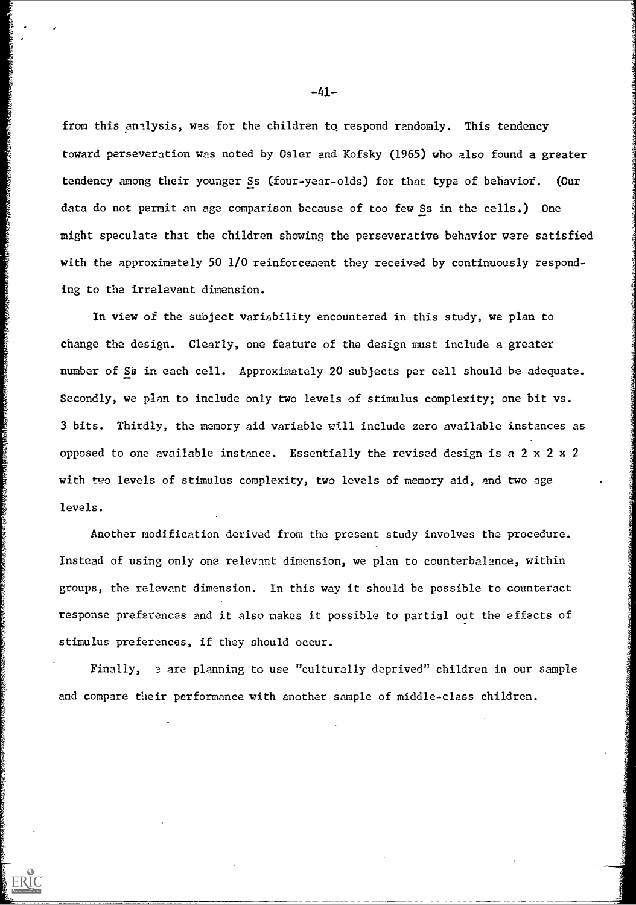from this analysis, was for the children to respond randomly. This tendency toward perseveration was noted by Osler and Kofsky (1965) who also found a greater tendency among their younger Ss (four-year-olds) for that type of behaviot. (Our data do not permit an age comparison because of too few Ss in the cells.) One might speculate that the children showing the perseverative behavior were satisfied with the approximately 50 1/0 reinforcement they received by continuously responding to the irrelevant dimension.

In view of the subject variability encountered in this study, we plan to change the design. Clearly, one feature of the design must include a greater number of Sa in each cell. Approximately 20 subjects per cell should be adequate. Secondly, we plan to include only two levels of stimulus complexity, one bit vs. 3 bits. Thirdly, the memory aid variable vill include zero available instances as opposed to one available instance. Essentially the revised design is a 2 x 2 x 2 with two levels of stimulus complexity, two levels of memory aid, and two age levels.

**Cashbrace Brown Deart Greece Brace Brace** 

ERIC

Another modification derived from the present study involves the procedure. Instead of using only one relevant dimension, we plan to counterbalance, within groups, the relevant dimension. In this way it should be possible to counteract response preferences nnd it also makes it possible to partial out the effects of stimulus preferences, if they should occur.

Finally, a are planning to use "culturally deprived" children in our sample and compare their performance with another sample of middle-class children.

-41-